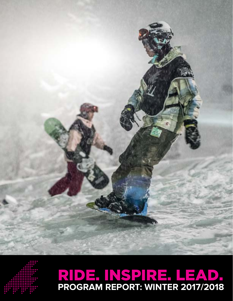

## **PROGRAM REPORT: WINTER 2017/2018** RIDE. INSPIRE. LEAD.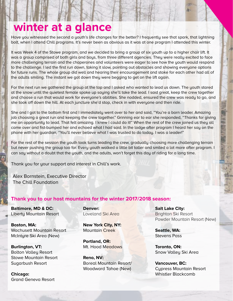### **winter at a glance**

Have you witnessed the second a youth's life changes for the better? I frequently see that spark, that lightning bolt, when I attend Chill programs. It's never been as obvious as it was at one program I attended this winter.

It was Week 4 of the Stowe program, and we decided to bring a group of six youth up to a higher chair lift. It was a group comprised of both girls and boys, from three different agencies. They were really excited to face more challenging terrain and the chaperones and volunteers were eager to see how the youth would respond to the challenge. I led the first run down, taking it slow, pointing out obstacles and showing everyone options for future runs. The whole group did well and hearing their encouragement and stoke for each other had all of the adults smiling. The instant we got down they were begging to get on the lift again.

For the next run we gathered the group at the top and I asked who wanted to lead us down. The youth stared at the snow until the quietest female spoke up saying she'll take the lead. I said great, keep the crew together and choose a run that would work for everyone's abilities. She nodded, ensured the crew was ready to go, and she took off down the hill. At each juncture she'd stop, check in with everyone and then ride.

She and I got to the bottom first and I immediately went over to her and said, "You're a born leader. Amazing job choosing a great run and keeping the crew together." Grinning ear to ear she responded, "Thanks for giving me an opportunity to lead. That felt amazing. I knew I could do it!" When the rest of the crew joined us they all came over and fist-bumped her and echoed what I had said. In the lodge after program I heard her say on the phone with her guardian, "You'll never believe what I was trusted to do today. I was a leader!"

For the rest of the session the youth took turns leading the crew, gradually choosing more challenging terrain but never pushing the group too far. Every youth walked a little bit taller and smiled a lot more after program. I can say without a doubt that the youth, and the adults, won't forget this day of riding for a long time.

Thank you for your support and interest in Chill's work.

Alex Bornstein, Executive Director The Chill Foundation

#### **Thank you to our host mountains for the winter 2017/2018 season:**

**Baltimore, MD & DC:** Liberty Mountain Resort

**Boston, MA:** Wachusett Mountain Resort McIntyre Ski Area (New)

**Burlington, VT:** Bolton Valley Resort Stowe Mountain Resort Sugarbush Resort

**Chicago:**  Grand Geneva Resort **Denver:**  Loveland Ski Area

**New York City, NY:** Mountain Creek

**Portland, OR:** Mt. Hood Meadows

**Reno, NV:**  Boreal Mountain Resort/ Woodward Tahoe (New)

**Salt Lake City:**  Brighton Ski Resort Powder Mountain Resort (New)

**Seattle, WA:** Stevens Pass

**Toronto, ON:** Snow Valley Ski Area

**Vancouver, BC:** Cypress Mountain Resort Whistler Blackcomb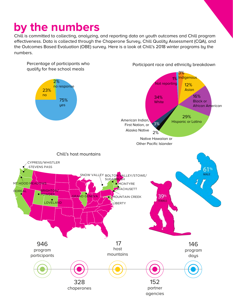## **by the numbers**

Chill is committed to collecting, analyzing, and reporting data on youth outcomes and Chill program effectiveness. Data is collected through the Chaperone Survey, Chill Quality Assessment (CQA), and the Outcomes Based Evaluation (OBE) survey. Here is a look at Chill's 2018 winter programs by the numbers.

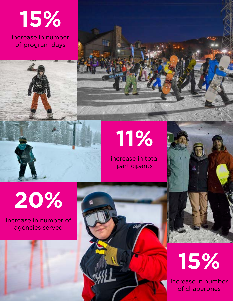

increase in number of program days



# **11%**

m

increase in total participants

**20%** 

increase in number of agencies served





increase in number of chaperones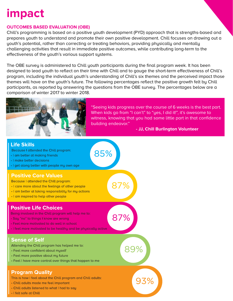## **impact**

#### **OUTCOMES BASED EVALUATION (OBE)**

Chill's programming is based on a positive youth development (PYD) approach that is strengths-based and prepares youth to understand and promote their own positive development. Chill focuses on drawing out a youth's potential, rather than correcting or treating behaviors, providing physically and mentally challenging activities that result in immediate positive outcomes, while contributing long-term to the effectiveness of the youth's various support systems.

The OBE survey is administered to Chill youth participants during the final program week. It has been designed to lead youth to reflect on their time with Chill and to gauge the short-term effectiveness of Chill's program, including the individual youth's understanding of Chill's six themes and the perceived impact those themes will have on the youth's future. The following percentages reflect the positive growth felt by Chill participants, as reported by answering the questions from the OBE survey. The percentages below are a comparison of winter 2017 to winter 2018.



"Seeing kids progress over the course of 6 weeks is the best part. When kids go from "I can't" to "yes, I did it!", it's awesome to witness, knowing that you had some little part in that confidence building endeavor."

#### **- JJ, Chill Burlington Volunteer**

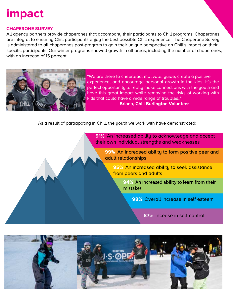## **impact**

#### **CHAPERONE SURVEY**

All agency partners provide chaperones that accompany their participants to Chill programs. Chaperones are integral to ensuring Chill participants enjoy the best possible Chill experience. The Chaperone Survey is administered to all chaperones post-program to gain their unique perspective on Chill's impact on their specific participants. Our winter programs showed growth in all areas, including the number of chaperones, with an increase of 15 percent.



"We are there to cheerlead, motivate, guide, create a positive experience, and encourage personal growth in the kids. It's the perfect opportunity to really make connections with the youth and have this great impact while removing the risks of working with kids that could have a wide range of troubles.."

**- Briana, Chill Burlington Volunteer** 

As a result of participating in Chill, the youth we work with have demonstrated: